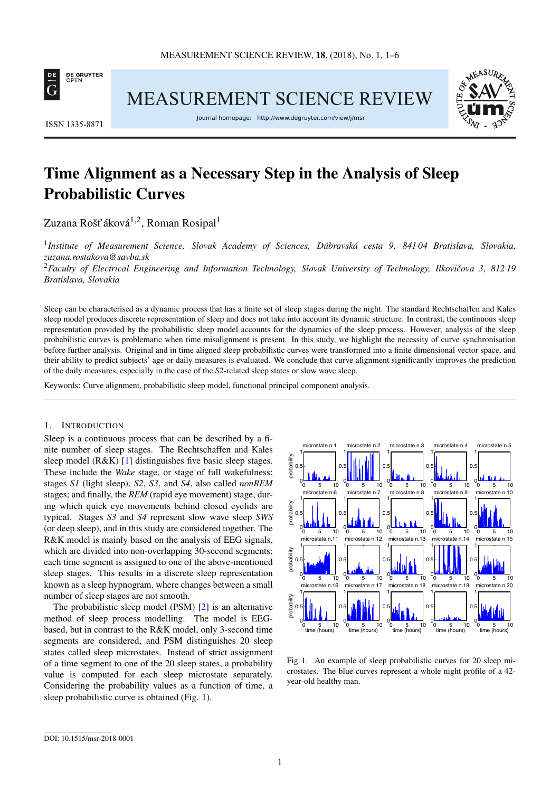

**MEASUREMENT SCIENCE REVIEW** 



ISSN 1335-8871

Journal homepage: http://www.degruyter.com/view/j/msr

# Time Alignment as a Necessary Step in the Analysis of Sleep Probabilistic Curves

Zuzana Rošť áková $^{1,2}$ , Roman Rosipal $^1$ 

1 *Institute of Measurement Science, Slovak Academy of Sciences, Dúbravská cesta 9, 841 04 Bratislava, Slovakia, [zuzana.rostakova@savba.sk](mailto:zuzana.rostakova@savba.sk)*

<sup>2</sup>Faculty of Electrical Engineering and Information Technology, Slovak University of Technology, Ilkovičova 3, 81219 *Bratislava, Slovakia*

Sleep can be characterised as a dynamic process that has a finite set of sleep stages during the night. The standard Rechtschaffen and Kales sleep model produces discrete representation of sleep and does not take into account its dynamic structure. In contrast, the continuous sleep representation provided by the probabilistic sleep model accounts for the dynamics of the sleep process. However, analysis of the sleep probabilistic curves is problematic when time misalignment is present. In this study, we highlight the necessity of curve synchronisation before further analysis. Original and in time aligned sleep probabilistic curves were transformed into a finite dimensional vector space, and their ability to predict subjects' age or daily measures is evaluated. We conclude that curve alignment significantly improves the prediction of the daily measures, especially in the case of the *S2*-related sleep states or slow wave sleep.

Keywords: Curve alignment, probabilistic sleep model, functional principal component analysis.

# 1. INTRODUCTION

Sleep is a continuous process that can be described by a finite number of sleep stages. The Rechtschaffen and Kales sleep model (R&K) [\[1\]](#page-4-0) distinguishes five basic sleep stages. These include the *Wake* stage, or stage of full wakefulness; stages *S1* (light sleep), *S2*, *S3*, and *S4*, also called *nonREM* stages; and finally, the *REM* (rapid eye movement) stage, during which quick eye movements behind closed eyelids are typical. Stages *S3* and *S4* represent slow wave sleep *SWS* (or deep sleep), and in this study are considered together. The R&K model is mainly based on the analysis of EEG signals, which are divided into non-overlapping 30-second segments; each time segment is assigned to one of the above-mentioned sleep stages. This results in a discrete sleep representation known as a sleep hypnogram, where changes between a small number of sleep stages are not smooth.

The probabilistic sleep model (PSM) [\[2\]](#page-4-1) is an alternative method of sleep process modelling. The model is EEGbased, but in contrast to the R&K model, only 3-second time segments are considered, and PSM distinguishes 20 sleep states called sleep microstates. Instead of strict assignment of a time segment to one of the 20 sleep states, a probability value is computed for each sleep microstate separately. Considering the probability values as a function of time, a sleep probabilistic curve is obtained (Fig. [1\)](#page-0-0).

<span id="page-0-0"></span>

Fig. 1. An example of sleep probabilistic curves for 20 sleep microstates. The blue curves represent a whole night profile of a 42 year-old healthy man.

[DOI: 10.1515/msr-2018-0001](http://dx.doi.org/10.1515/msr-2018-0001)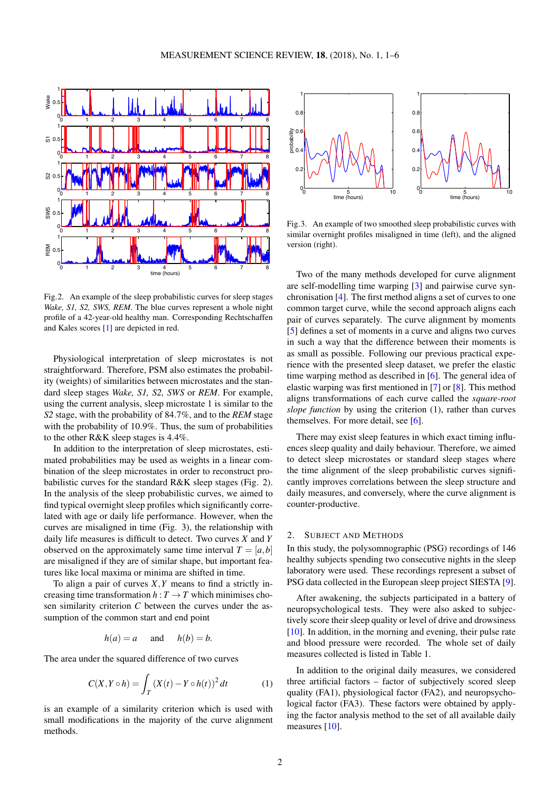<span id="page-1-0"></span>

Fig.2. An example of the sleep probabilistic curves for sleep stages *Wake, S1, S2, SWS, REM*. The blue curves represent a whole night profile of a 42-year-old healthy man. Corresponding Rechtschaffen and Kales scores [\[1\]](#page-4-0) are depicted in red.

Physiological interpretation of sleep microstates is not straightforward. Therefore, PSM also estimates the probability (weights) of similarities between microstates and the standard sleep stages *Wake, S1, S2, SWS* or *REM*. For example, using the current analysis, sleep microstate 1 is similar to the *S2* stage, with the probability of 84.7%, and to the *REM* stage with the probability of 10.9%. Thus, the sum of probabilities to the other R&K sleep stages is 4.4%.

In addition to the interpretation of sleep microstates, estimated probabilities may be used as weights in a linear combination of the sleep microstates in order to reconstruct probabilistic curves for the standard R&K sleep stages (Fig. [2\)](#page-1-0). In the analysis of the sleep probabilistic curves, we aimed to find typical overnight sleep profiles which significantly correlated with age or daily life performance. However, when the curves are misaligned in time (Fig. [3\)](#page-1-1), the relationship with daily life measures is difficult to detect. Two curves *X* and *Y* observed on the approximately same time interval  $T = [a, b]$ are misaligned if they are of similar shape, but important features like local maxima or minima are shifted in time.

To align a pair of curves *X*,*Y* means to find a strictly increasing time transformation  $h: T \to T$  which minimises chosen similarity criterion *C* between the curves under the assumption of the common start and end point

$$
h(a) = a \quad \text{and} \quad h(b) = b.
$$

The area under the squared difference of two curves

$$
C(X, Y \circ h) = \int_{T} (X(t) - Y \circ h(t))^{2} dt
$$
 (1)

is an example of a similarity criterion which is used with small modifications in the majority of the curve alignment methods.

<span id="page-1-1"></span>

Fig.3. An example of two smoothed sleep probabilistic curves with similar overnight profiles misaligned in time (left), and the aligned version (right).

Two of the many methods developed for curve alignment are self-modelling time warping [\[3\]](#page-4-2) and pairwise curve synchronisation [\[4\]](#page-4-3). The first method aligns a set of curves to one common target curve, while the second approach aligns each pair of curves separately. The curve alignment by moments [\[5\]](#page-4-4) defines a set of moments in a curve and aligns two curves in such a way that the difference between their moments is as small as possible. Following our previous practical experience with the presented sleep dataset, we prefer the elastic time warping method as described in [\[6\]](#page-4-5). The general idea of elastic warping was first mentioned in [\[7\]](#page-4-6) or [\[8\]](#page-4-7). This method aligns transformations of each curve called the *square-root slope function* by using the criterion [\(1\)](#page-1-2), rather than curves themselves. For more detail, see [\[6\]](#page-4-5).

There may exist sleep features in which exact timing influences sleep quality and daily behaviour. Therefore, we aimed to detect sleep microstates or standard sleep stages where the time alignment of the sleep probabilistic curves significantly improves correlations between the sleep structure and daily measures, and conversely, where the curve alignment is counter-productive.

#### 2. SUBJECT AND METHODS

In this study, the polysomnographic (PSG) recordings of 146 healthy subjects spending two consecutive nights in the sleep laboratory were used. These recordings represent a subset of PSG data collected in the European sleep project SIESTA [\[9\]](#page-4-8).

After awakening, the subjects participated in a battery of neuropsychological tests. They were also asked to subjectively score their sleep quality or level of drive and drowsiness [\[10\]](#page-5-0). In addition, in the morning and evening, their pulse rate and blood pressure were recorded. The whole set of daily measures collected is listed in Table [1.](#page-2-0)

<span id="page-1-2"></span>In addition to the original daily measures, we considered three artificial factors – factor of subjectively scored sleep quality (FA1), physiological factor (FA2), and neuropsychological factor (FA3). These factors were obtained by applying the factor analysis method to the set of all available daily measures [\[10\]](#page-5-0).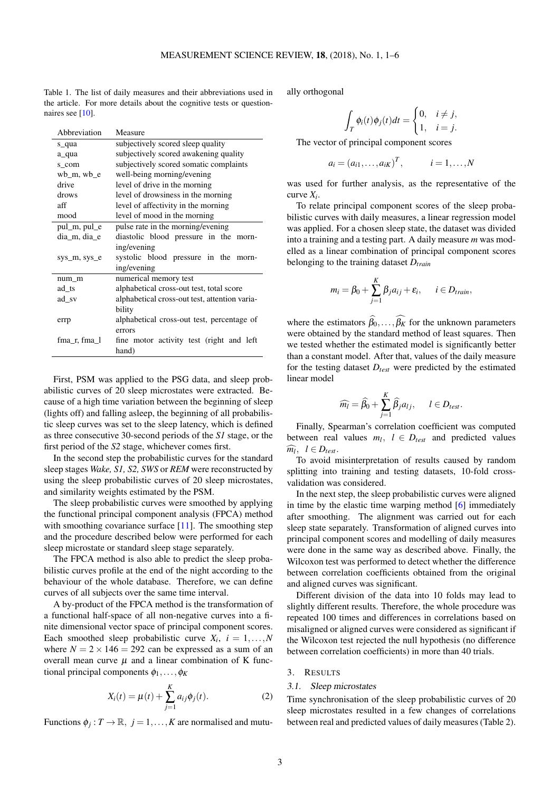<span id="page-2-0"></span>Table 1. The list of daily measures and their abbreviations used in the article. For more details about the cognitive tests or question-naires see [\[10\]](#page-5-0).

| Abbreviation   | Measure                                       |  |  |  |  |
|----------------|-----------------------------------------------|--|--|--|--|
| s_qua          | subjectively scored sleep quality             |  |  |  |  |
| a_qua          | subjectively scored awakening quality         |  |  |  |  |
| s com          | subjectively scored somatic complaints        |  |  |  |  |
| $wb$ m, $wb$ e | well-being morning/evening                    |  |  |  |  |
| drive          | level of drive in the morning                 |  |  |  |  |
| drows          | level of drowsiness in the morning            |  |  |  |  |
| aff            | level of affectivity in the morning           |  |  |  |  |
| mood           | level of mood in the morning                  |  |  |  |  |
| pul_m, pul_e   | pulse rate in the morning/evening             |  |  |  |  |
| dia m, dia e   | diastolic blood pressure in the morn-         |  |  |  |  |
|                | ing/evening                                   |  |  |  |  |
| sys_m, sys_e   | systolic blood pressure in the morn-          |  |  |  |  |
|                | ing/evening                                   |  |  |  |  |
| num_m          | numerical memory test                         |  |  |  |  |
| ad ts          | alphabetical cross-out test, total score      |  |  |  |  |
| ad sv          | alphabetical cross-out test, attention varia- |  |  |  |  |
|                | bility                                        |  |  |  |  |
| errp           | alphabetical cross-out test, percentage of    |  |  |  |  |
|                | errors                                        |  |  |  |  |
| fma r, fma 1   | fine motor activity test (right and left      |  |  |  |  |
|                | hand)                                         |  |  |  |  |

First, PSM was applied to the PSG data, and sleep probabilistic curves of 20 sleep microstates were extracted. Because of a high time variation between the beginning of sleep (lights off) and falling asleep, the beginning of all probabilistic sleep curves was set to the sleep latency, which is defined as three consecutive 30-second periods of the *S1* stage, or the first period of the *S2* stage, whichever comes first.

In the second step the probabilistic curves for the standard sleep stages *Wake, S1, S2, SWS* or *REM* were reconstructed by using the sleep probabilistic curves of 20 sleep microstates, and similarity weights estimated by the PSM.

The sleep probabilistic curves were smoothed by applying the functional principal component analysis (FPCA) method with smoothing covariance surface [\[11\]](#page-5-1). The smoothing step and the procedure described below were performed for each sleep microstate or standard sleep stage separately.

The FPCA method is also able to predict the sleep probabilistic curves profile at the end of the night according to the behaviour of the whole database. Therefore, we can define curves of all subjects over the same time interval.

A by-product of the FPCA method is the transformation of a functional half-space of all non-negative curves into a finite dimensional vector space of principal component scores. Each smoothed sleep probabilistic curve  $X_i$ ,  $i = 1,...,N$ where  $N = 2 \times 146 = 292$  can be expressed as a sum of an overall mean curve  $\mu$  and a linear combination of K functional principal components  $\phi_1, \ldots, \phi_K$ 

$$
X_i(t) = \mu(t) + \sum_{j=1}^{K} a_{ij} \phi_j(t).
$$
 (2)

Functions  $\phi_j : T \to \mathbb{R}, j = 1, \ldots, K$  are normalised and mutu-

ally orthogonal

$$
\int_T \phi_i(t)\phi_j(t)dt = \begin{cases} 0, & i \neq j, \\ 1, & i = j. \end{cases}
$$

The vector of principal component scores

$$
a_i = (a_{i1},...,a_{iK})^T
$$
,  $i = 1,...,N$ 

was used for further analysis, as the representative of the curve *X<sup>i</sup>* .

To relate principal component scores of the sleep probabilistic curves with daily measures, a linear regression model was applied. For a chosen sleep state, the dataset was divided into a training and a testing part. A daily measure *m* was modelled as a linear combination of principal component scores belonging to the training dataset *Dtrain*

$$
m_i = \beta_0 + \sum_{j=1}^K \beta_j a_{ij} + \varepsilon_i, \qquad i \in D_{train},
$$

where the estimators  $\widehat{\beta}_0, \ldots, \widehat{\beta_K}$  for the unknown parameters were obtained by the standard method of least squares. Then we tested whether the estimated model is significantly better than a constant model. After that, values of the daily measure for the testing dataset *Dtest* were predicted by the estimated linear model

$$
\widehat{m_l} = \widehat{\beta}_0 + \sum_{j=1}^K \widehat{\beta}_j a_{lj}, \quad l \in D_{test}.
$$

Finally, Spearman's correlation coefficient was computed between real values  $m_l$ ,  $l \in D_{test}$  and predicted values  $\widehat{m_l}$ ,  $l \in D_{test}$ .<br>
To avoid r

To avoid misinterpretation of results caused by random splitting into training and testing datasets, 10-fold crossvalidation was considered.

In the next step, the sleep probabilistic curves were aligned in time by the elastic time warping method [\[6\]](#page-4-5) immediately after smoothing. The alignment was carried out for each sleep state separately. Transformation of aligned curves into principal component scores and modelling of daily measures were done in the same way as described above. Finally, the Wilcoxon test was performed to detect whether the difference between correlation coefficients obtained from the original and aligned curves was significant.

Different division of the data into 10 folds may lead to slightly different results. Therefore, the whole procedure was repeated 100 times and differences in correlations based on misaligned or aligned curves were considered as significant if the Wilcoxon test rejected the null hypothesis (no difference between correlation coefficients) in more than 40 trials.

## 3. RESULTS

#### 3.1. Sleep microstates

Time synchronisation of the sleep probabilistic curves of 20 sleep microstates resulted in a few changes of correlations between real and predicted values of daily measures (Table [2\)](#page-3-0).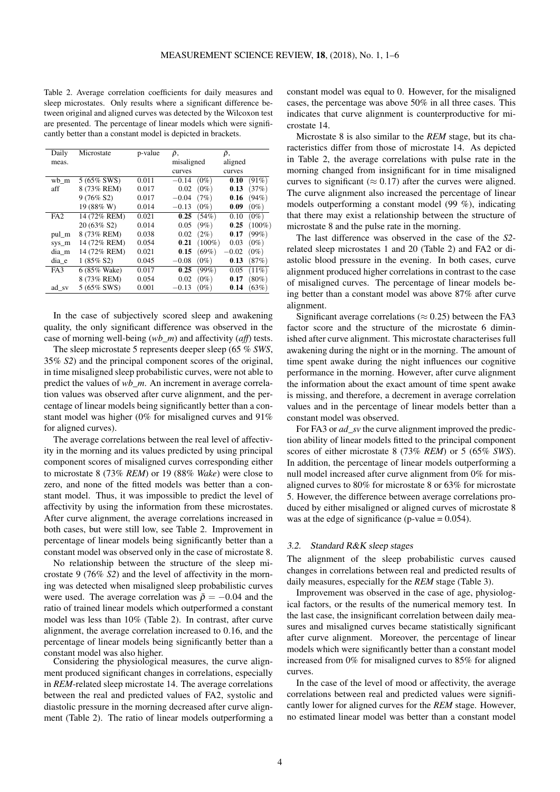<span id="page-3-0"></span>Table 2. Average correlation coefficients for daily measures and sleep microstates. Only results where a significant difference between original and aligned curves was detected by the Wilcoxon test are presented. The percentage of linear models which were significantly better than a constant model is depicted in brackets.

| Daily           | Microstate   | p-value | Ā,                 | Ā,                           |
|-----------------|--------------|---------|--------------------|------------------------------|
| meas.           |              |         | misaligned         | aligned                      |
|                 |              |         | curves             | curves                       |
| wb m            | 5 (65% SWS)  | 0.011   | $(0\%)$<br>$-0.14$ | $(91\%)$<br>0.10             |
| aff             | 8 (73% REM)  | 0.017   | 0.02<br>$(0\%)$    | (37%)<br>0.13                |
|                 | $9(76\% S2)$ | 0.017   | $-0.04$<br>(7%)    | (94%)<br>0.16                |
|                 | 19 (88% W)   | 0.014   | $-0.13$<br>$(0\%)$ | 0.09<br>$(0\%)$              |
| FA <sub>2</sub> | 14 (72% REM) | 0.021   | 0.25<br>(54%)      | $(0\%)$<br>0.10              |
|                 | 20 (63% S2)  | 0.014   | $(9\%)$<br>0.05    | $(100\%)$<br>0.25            |
| pul_m           | 8 (73% REM)  | 0.038   | $(2\%)$<br>0.02    | (99%)<br>0.17                |
| sys_m           | 14 (72% REM) | 0.054   | 0.21               | $(0\%)$<br>$(100\%)$<br>0.03 |
| dia m           | 14 (72% REM) | 0.021   | $(69\%)$<br>0.15   | $-0.02$<br>$(0\%)$           |
| dia e           | $1(85\% S2)$ | 0.045   | $-0.08$<br>$(0\%)$ | (87%)<br>0.13                |
| FA3             | 6 (85% Wake) | 0.017   | 0.25<br>(99%)      | (11%)<br>0.05                |
|                 | 8 (73% REM)  | 0.054   | $(0\%)$<br>0.02    | $(80\%)$<br>0.17             |
| ad sv           | 5 (65% SWS)  | 0.001   | $(0\%)$<br>$-0.13$ | (63%)<br>0.14                |

In the case of subjectively scored sleep and awakening quality, the only significant difference was observed in the case of morning well-being (*wb\_m*) and affectivity (*aff*) tests.

The sleep microstate 5 represents deeper sleep (65 % *SWS*, 35% *S2*) and the principal component scores of the original, in time misaligned sleep probabilistic curves, were not able to predict the values of *wb\_m*. An increment in average correlation values was observed after curve alignment, and the percentage of linear models being significantly better than a constant model was higher (0% for misaligned curves and 91% for aligned curves).

The average correlations between the real level of affectivity in the morning and its values predicted by using principal component scores of misaligned curves corresponding either to microstate 8 (73% *REM*) or 19 (88% *Wake*) were close to zero, and none of the fitted models was better than a constant model. Thus, it was impossible to predict the level of affectivity by using the information from these microstates. After curve alignment, the average correlations increased in both cases, but were still low, see Table [2.](#page-3-0) Improvement in percentage of linear models being significantly better than a constant model was observed only in the case of microstate 8.

No relationship between the structure of the sleep microstate 9 (76% *S2*) and the level of affectivity in the morning was detected when misaligned sleep probabilistic curves were used. The average correlation was  $\bar{\rho} = -0.04$  and the ratio of trained linear models which outperformed a constant model was less than 10% (Table [2\)](#page-3-0). In contrast, after curve alignment, the average correlation increased to 0.16, and the percentage of linear models being significantly better than a constant model was also higher.

Considering the physiological measures, the curve alignment produced significant changes in correlations, especially in *REM*-related sleep microstate 14. The average correlations between the real and predicted values of FA2, systolic and diastolic pressure in the morning decreased after curve alignment (Table [2\)](#page-3-0). The ratio of linear models outperforming a

constant model was equal to 0. However, for the misaligned cases, the percentage was above 50% in all three cases. This indicates that curve alignment is counterproductive for microstate 14.

Microstate 8 is also similar to the *REM* stage, but its characteristics differ from those of microstate 14. As depicted in Table [2,](#page-3-0) the average correlations with pulse rate in the morning changed from insignificant for in time misaligned curves to significant ( $\approx 0.17$ ) after the curves were aligned. The curve alignment also increased the percentage of linear models outperforming a constant model (99 %), indicating that there may exist a relationship between the structure of microstate 8 and the pulse rate in the morning.

The last difference was observed in the case of the *S2* related sleep microstates 1 and 20 (Table [2\)](#page-3-0) and FA2 or diastolic blood pressure in the evening. In both cases, curve alignment produced higher correlations in contrast to the case of misaligned curves. The percentage of linear models being better than a constant model was above 87% after curve alignment.

Significant average correlations ( $\approx 0.25$ ) between the FA3 factor score and the structure of the microstate 6 diminished after curve alignment. This microstate characterises full awakening during the night or in the morning. The amount of time spent awake during the night influences our cognitive performance in the morning. However, after curve alignment the information about the exact amount of time spent awake is missing, and therefore, a decrement in average correlation values and in the percentage of linear models better than a constant model was observed.

For FA3 or *ad\_sv* the curve alignment improved the prediction ability of linear models fitted to the principal component scores of either microstate 8 (73% *REM*) or 5 (65% *SWS*). In addition, the percentage of linear models outperforming a null model increased after curve alignment from 0% for misaligned curves to 80% for microstate 8 or 63% for microstate 5. However, the difference between average correlations produced by either misaligned or aligned curves of microstate 8 was at the edge of significance (p-value  $= 0.054$ ).

## 3.2. Standard R&K sleep stages

The alignment of the sleep probabilistic curves caused changes in correlations between real and predicted results of daily measures, especially for the *REM* stage (Table [3\)](#page-4-9).

Improvement was observed in the case of age, physiological factors, or the results of the numerical memory test. In the last case, the insignificant correlation between daily measures and misaligned curves became statistically significant after curve alignment. Moreover, the percentage of linear models which were significantly better than a constant model increased from 0% for misaligned curves to 85% for aligned curves.

In the case of the level of mood or affectivity, the average correlations between real and predicted values were significantly lower for aligned curves for the *REM* stage. However, no estimated linear model was better than a constant model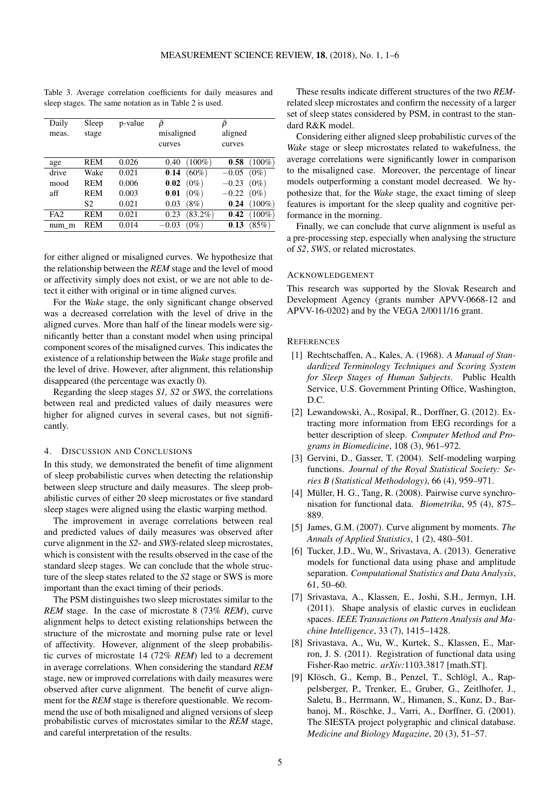| Daily<br>meas.  | Sleep<br>stage | p-value | Ō<br>misaligned<br>curves | ρ<br>aligned<br>curves |
|-----------------|----------------|---------|---------------------------|------------------------|
| age             | <b>REM</b>     | 0.026   | $(100\%)$<br>0.40         | 0.58<br>$(100\%)$      |
| drive           | Wake           | 0.021   | $(60\%)$<br>0.14          | $(0\%)$<br>$-0.05$     |
| mood            | <b>REM</b>     | 0.006   | 0.02<br>$(0\%)$           | $-0.23$<br>$(0\%)$     |
| aff             | <b>REM</b>     | 0.003   | 0.01<br>$(0\%)$           | $(0\%)$<br>$-0.22$     |
|                 | S2             | 0.021   | $(8\%)$<br>0.03           | $(100\%)$<br>0.24      |
| FA <sub>2</sub> | <b>REM</b>     | 0.021   | $(83.2\%)$<br>0.23        | $(100\%)$<br>0.42      |
| num m           | <b>REM</b>     | 0.014   | $(0\%)$<br>$-0.03$        | (85%)<br>0.13          |

<span id="page-4-9"></span>Table 3. Average correlation coefficients for daily measures and sleep stages. The same notation as in Table [2](#page-3-0) is used.

for either aligned or misaligned curves. We hypothesize that the relationship between the *REM* stage and the level of mood or affectivity simply does not exist, or we are not able to detect it either with original or in time aligned curves.

For the *Wake* stage, the only significant change observed was a decreased correlation with the level of drive in the aligned curves. More than half of the linear models were significantly better than a constant model when using principal component scores of the misaligned curves. This indicates the existence of a relationship between the *Wake* stage profile and the level of drive. However, after alignment, this relationship disappeared (the percentage was exactly 0).

Regarding the sleep stages *S1, S2* or *SWS*, the correlations between real and predicted values of daily measures were higher for aligned curves in several cases, but not significantly.

# 4. DISCUSSION AND CONCLUSIONS

In this study, we demonstrated the benefit of time alignment of sleep probabilistic curves when detecting the relationship between sleep structure and daily measures. The sleep probabilistic curves of either 20 sleep microstates or five standard sleep stages were aligned using the elastic warping method.

The improvement in average correlations between real and predicted values of daily measures was observed after curve alignment in the *S2*- and *SWS*-related sleep microstates, which is consistent with the results observed in the case of the standard sleep stages. We can conclude that the whole structure of the sleep states related to the *S2* stage or SWS is more important than the exact timing of their periods.

The PSM distinguishes two sleep microstates similar to the *REM* stage. In the case of microstate 8 (73% *REM*), curve alignment helps to detect existing relationships between the structure of the microstate and morning pulse rate or level of affectivity. However, alignment of the sleep probabilistic curves of microstate 14 (72% *REM*) led to a decrement in average correlations. When considering the standard *REM* stage, new or improved correlations with daily measures were observed after curve alignment. The benefit of curve alignment for the *REM* stage is therefore questionable. We recommend the use of both misaligned and aligned versions of sleep probabilistic curves of microstates similar to the *REM* stage, and careful interpretation of the results.

These results indicate different structures of the two *REM*related sleep microstates and confirm the necessity of a larger set of sleep states considered by PSM, in contrast to the standard R&K model.

Considering either aligned sleep probabilistic curves of the *Wake* stage or sleep microstates related to wakefulness, the average correlations were significantly lower in comparison to the misaligned case. Moreover, the percentage of linear models outperforming a constant model decreased. We hypothesize that, for the *Wake* stage, the exact timing of sleep features is important for the sleep quality and cognitive performance in the morning.

Finally, we can conclude that curve alignment is useful as a pre-processing step, especially when analysing the structure of *S2*, *SWS*, or related microstates.

## ACKNOWLEDGEMENT

This research was supported by the Slovak Research and Development Agency (grants number APVV-0668-12 and APVV-16-0202) and by the VEGA 2/0011/16 grant.

#### **REFERENCES**

- <span id="page-4-0"></span>[1] Rechtschaffen, A., Kales, A. (1968). *A Manual of Standardized Terminology Techniques and Scoring System for Sleep Stages of Human Subjects*. Public Health Service, U.S. Government Printing Office, Washington, D.C.
- <span id="page-4-1"></span>[2] Lewandowski, A., Rosipal, R., Dorffner, G. (2012). Extracting more information from EEG recordings for a better description of sleep. *Computer Method and Programs in Biomedicine*, 108 (3), 961–972.
- <span id="page-4-2"></span>[3] Gervini, D., Gasser, T. (2004). Self-modeling warping functions. *Journal of the Royal Statistical Society: Series B (Statistical Methodology)*, 66 (4), 959–971.
- <span id="page-4-3"></span>[4] Müller, H. G., Tang, R. (2008). Pairwise curve synchronisation for functional data. *Biometrika*, 95 (4), 875– 889.
- <span id="page-4-4"></span>[5] James, G.M. (2007). Curve alignment by moments. *The Annals of Applied Statistics*, 1 (2), 480–501.
- <span id="page-4-5"></span>[6] Tucker, J.D., Wu, W., Srivastava, A. (2013). Generative models for functional data using phase and amplitude separation. *Computational Statistics and Data Analysis*, 61, 50–60.
- <span id="page-4-6"></span>[7] Srivastava, A., Klassen, E., Joshi, S.H., Jermyn, I.H. (2011). Shape analysis of elastic curves in euclidean spaces. *IEEE Transactions on Pattern Analysis and Machine Intelligence*, 33 (7), 1415–1428.
- <span id="page-4-7"></span>[8] Srivastava, A., Wu, W., Kurtek, S., Klassen, E., Marron, J. S. (2011). Registration of functional data using Fisher-Rao metric. *arXiv:*1103.3817 [math.ST].
- <span id="page-4-8"></span>[9] Klösch, G., Kemp, B., Penzel, T., Schlögl, A., Rappelsberger, P., Trenker, E., Gruber, G., Zeitlhofer, J., Saletu, B., Herrmann, W., Himanen, S., Kunz, D., Barbanoj, M., Röschke, J., Varri, A., Dorffner, G. (2001). The SIESTA project polygraphic and clinical database. *Medicine and Biology Magazine*, 20 (3), 51–57.